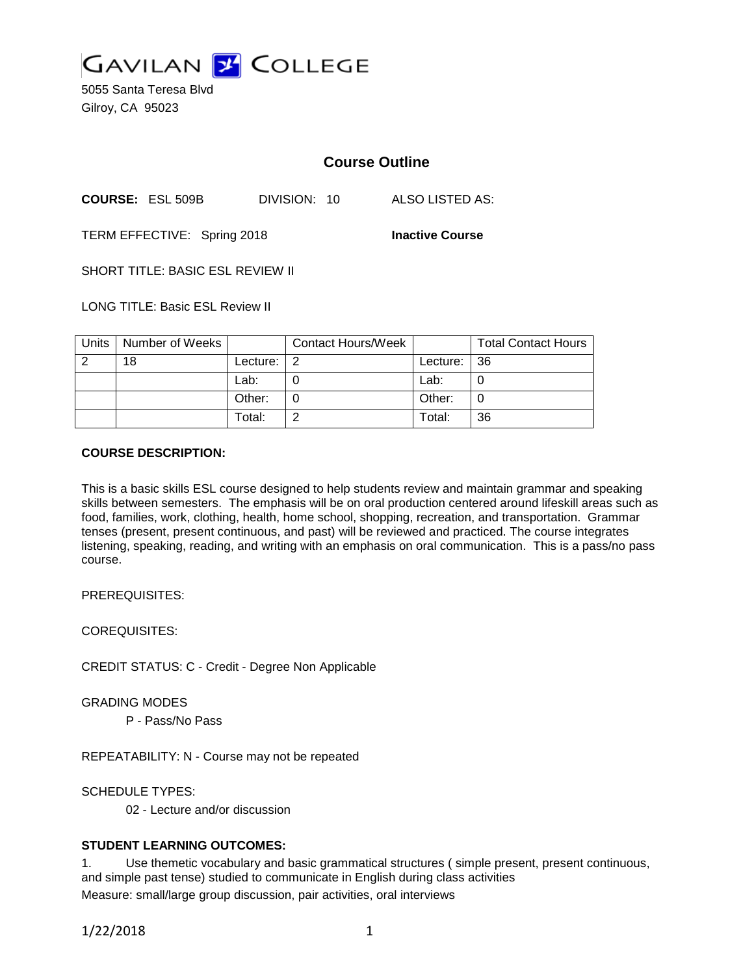

5055 Santa Teresa Blvd Gilroy, CA 95023

# **Course Outline**

**COURSE:** ESL 509B DIVISION: 10 ALSO LISTED AS:

TERM EFFECTIVE: Spring 2018 **Inactive Course**

SHORT TITLE: BASIC ESL REVIEW II

LONG TITLE: Basic ESL Review II

| Units | Number of Weeks |          | <b>Contact Hours/Week</b> |             | <b>Total Contact Hours</b> |
|-------|-----------------|----------|---------------------------|-------------|----------------------------|
|       | 18              | Lecture: | - 2                       | Lecture: 36 |                            |
|       |                 | Lab:     |                           | Lab:        |                            |
|       |                 | Other:   |                           | Other:      |                            |
|       |                 | Total:   | $\sqrt{2}$                | Total:      | 36                         |

# **COURSE DESCRIPTION:**

This is a basic skills ESL course designed to help students review and maintain grammar and speaking skills between semesters. The emphasis will be on oral production centered around lifeskill areas such as food, families, work, clothing, health, home school, shopping, recreation, and transportation. Grammar tenses (present, present continuous, and past) will be reviewed and practiced. The course integrates listening, speaking, reading, and writing with an emphasis on oral communication. This is a pass/no pass course.

PREREQUISITES:

COREQUISITES:

CREDIT STATUS: C - Credit - Degree Non Applicable

GRADING MODES

P - Pass/No Pass

REPEATABILITY: N - Course may not be repeated

SCHEDULE TYPES:

02 - Lecture and/or discussion

# **STUDENT LEARNING OUTCOMES:**

1. Use themetic vocabulary and basic grammatical structures ( simple present, present continuous, and simple past tense) studied to communicate in English during class activities Measure: small/large group discussion, pair activities, oral interviews

1/22/2018 1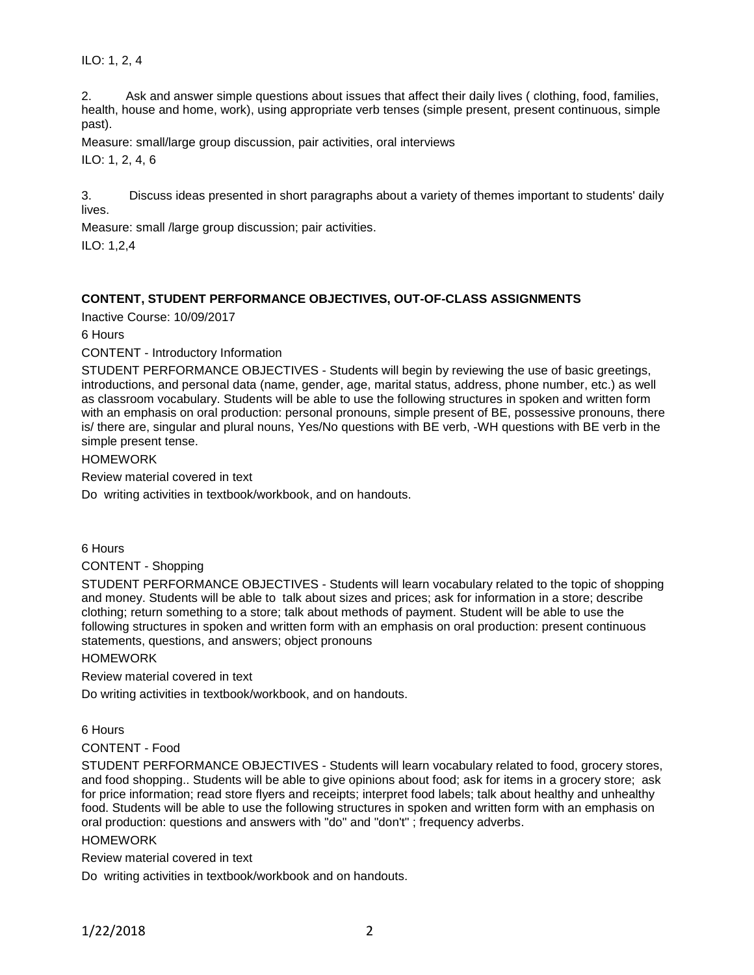ILO: 1, 2, 4

2. Ask and answer simple questions about issues that affect their daily lives ( clothing, food, families, health, house and home, work), using appropriate verb tenses (simple present, present continuous, simple past).

Measure: small/large group discussion, pair activities, oral interviews

ILO: 1, 2, 4, 6

3. Discuss ideas presented in short paragraphs about a variety of themes important to students' daily lives.

Measure: small /large group discussion; pair activities.

ILO: 1,2,4

# **CONTENT, STUDENT PERFORMANCE OBJECTIVES, OUT-OF-CLASS ASSIGNMENTS**

Inactive Course: 10/09/2017

6 Hours

CONTENT - Introductory Information

STUDENT PERFORMANCE OBJECTIVES - Students will begin by reviewing the use of basic greetings, introductions, and personal data (name, gender, age, marital status, address, phone number, etc.) as well as classroom vocabulary. Students will be able to use the following structures in spoken and written form with an emphasis on oral production: personal pronouns, simple present of BE, possessive pronouns, there is/ there are, singular and plural nouns, Yes/No questions with BE verb, -WH questions with BE verb in the simple present tense.

### HOMEWORK

Review material covered in text

Do writing activities in textbook/workbook, and on handouts.

6 Hours

CONTENT - Shopping

STUDENT PERFORMANCE OBJECTIVES - Students will learn vocabulary related to the topic of shopping and money. Students will be able to talk about sizes and prices; ask for information in a store; describe clothing; return something to a store; talk about methods of payment. Student will be able to use the following structures in spoken and written form with an emphasis on oral production: present continuous statements, questions, and answers; object pronouns

HOMEWORK

Review material covered in text

Do writing activities in textbook/workbook, and on handouts.

6 Hours

# CONTENT - Food

STUDENT PERFORMANCE OBJECTIVES - Students will learn vocabulary related to food, grocery stores, and food shopping.. Students will be able to give opinions about food; ask for items in a grocery store; ask for price information; read store flyers and receipts; interpret food labels; talk about healthy and unhealthy food. Students will be able to use the following structures in spoken and written form with an emphasis on oral production: questions and answers with "do" and "don't" ; frequency adverbs.

#### HOMEWORK

Review material covered in text

Do writing activities in textbook/workbook and on handouts.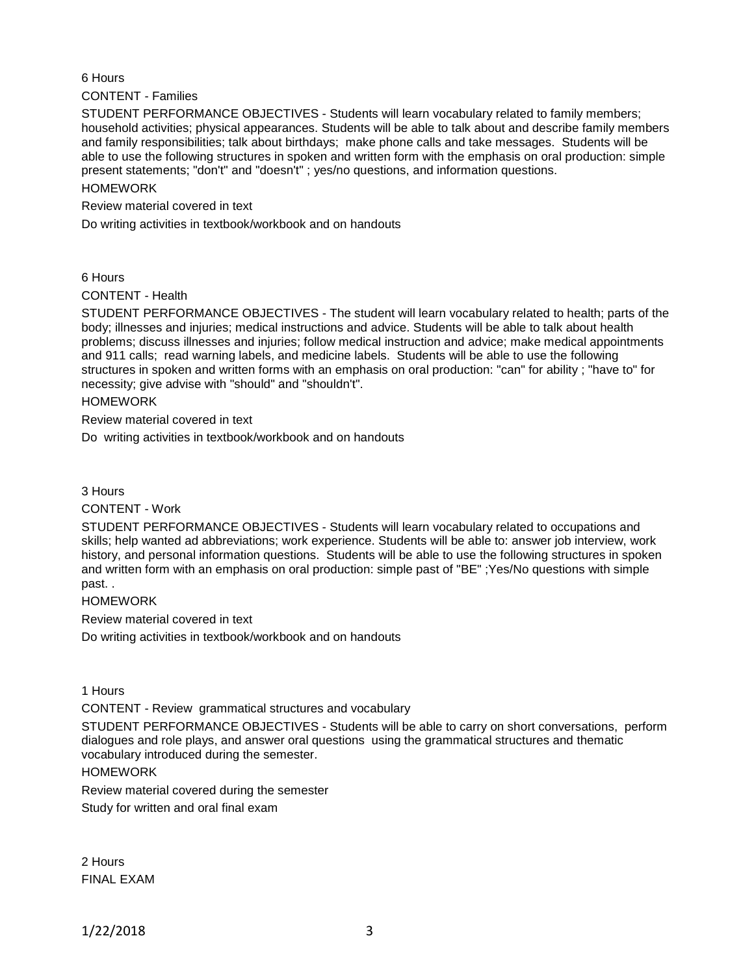# 6 Hours

CONTENT - Families

STUDENT PERFORMANCE OBJECTIVES - Students will learn vocabulary related to family members; household activities; physical appearances. Students will be able to talk about and describe family members and family responsibilities; talk about birthdays; make phone calls and take messages. Students will be able to use the following structures in spoken and written form with the emphasis on oral production: simple present statements; "don't" and "doesn't" ; yes/no questions, and information questions.

#### HOMEWORK

Review material covered in text

Do writing activities in textbook/workbook and on handouts

6 Hours

CONTENT - Health

STUDENT PERFORMANCE OBJECTIVES - The student will learn vocabulary related to health; parts of the body; illnesses and injuries; medical instructions and advice. Students will be able to talk about health problems; discuss illnesses and injuries; follow medical instruction and advice; make medical appointments and 911 calls; read warning labels, and medicine labels. Students will be able to use the following structures in spoken and written forms with an emphasis on oral production: "can" for ability ; "have to" for necessity; give advise with "should" and "shouldn't".

HOMEWORK

Review material covered in text

Do writing activities in textbook/workbook and on handouts

3 Hours

#### CONTENT - Work

STUDENT PERFORMANCE OBJECTIVES - Students will learn vocabulary related to occupations and skills; help wanted ad abbreviations; work experience. Students will be able to: answer job interview, work history, and personal information questions. Students will be able to use the following structures in spoken and written form with an emphasis on oral production: simple past of "BE" ;Yes/No questions with simple past. .

#### **HOMEWORK**

Review material covered in text

Do writing activities in textbook/workbook and on handouts

1 Hours

CONTENT - Review grammatical structures and vocabulary

STUDENT PERFORMANCE OBJECTIVES - Students will be able to carry on short conversations, perform dialogues and role plays, and answer oral questions using the grammatical structures and thematic vocabulary introduced during the semester.

#### HOMEWORK

Review material covered during the semester

Study for written and oral final exam

2 Hours FINAL EXAM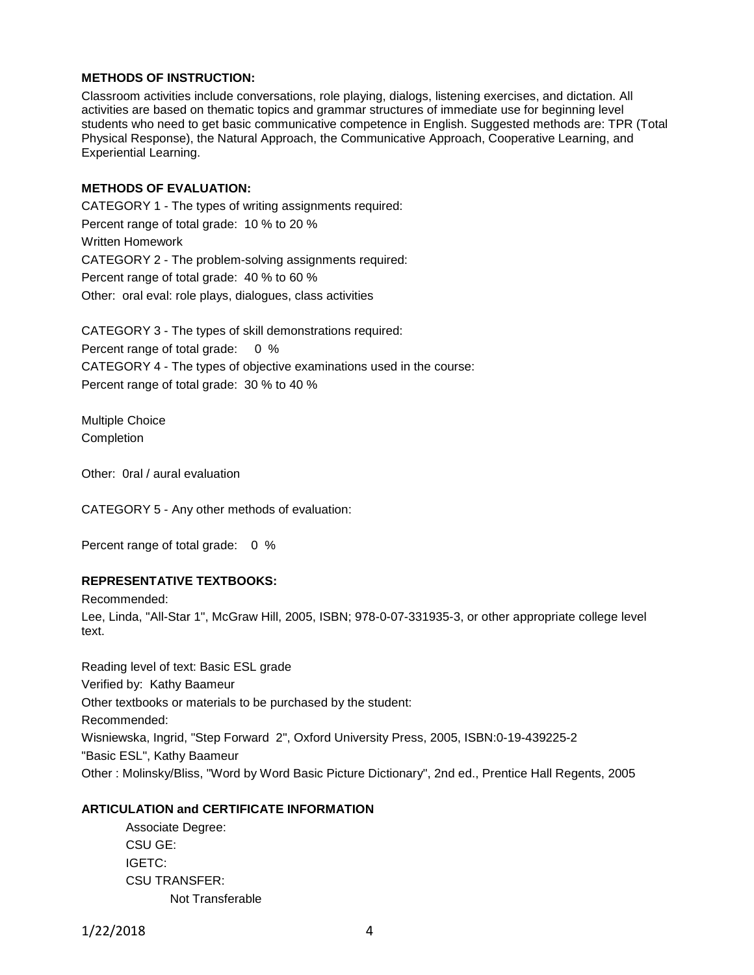# **METHODS OF INSTRUCTION:**

Classroom activities include conversations, role playing, dialogs, listening exercises, and dictation. All activities are based on thematic topics and grammar structures of immediate use for beginning level students who need to get basic communicative competence in English. Suggested methods are: TPR (Total Physical Response), the Natural Approach, the Communicative Approach, Cooperative Learning, and Experiential Learning.

### **METHODS OF EVALUATION:**

CATEGORY 1 - The types of writing assignments required: Percent range of total grade: 10 % to 20 % Written Homework CATEGORY 2 - The problem-solving assignments required: Percent range of total grade: 40 % to 60 % Other: oral eval: role plays, dialogues, class activities

CATEGORY 3 - The types of skill demonstrations required: Percent range of total grade: 0 % CATEGORY 4 - The types of objective examinations used in the course: Percent range of total grade: 30 % to 40 %

Multiple Choice Completion

Other: 0ral / aural evaluation

CATEGORY 5 - Any other methods of evaluation:

Percent range of total grade: 0 %

# **REPRESENTATIVE TEXTBOOKS:**

Recommended:

Lee, Linda, "All-Star 1", McGraw Hill, 2005, ISBN; 978-0-07-331935-3, or other appropriate college level text.

Reading level of text: Basic ESL grade Verified by: Kathy Baameur Other textbooks or materials to be purchased by the student: Recommended: Wisniewska, Ingrid, "Step Forward 2", Oxford University Press, 2005, ISBN:0-19-439225-2 "Basic ESL", Kathy Baameur Other : Molinsky/Bliss, "Word by Word Basic Picture Dictionary", 2nd ed., Prentice Hall Regents, 2005

# **ARTICULATION and CERTIFICATE INFORMATION**

Associate Degree: CSU GE: IGETC: CSU TRANSFER: Not Transferable